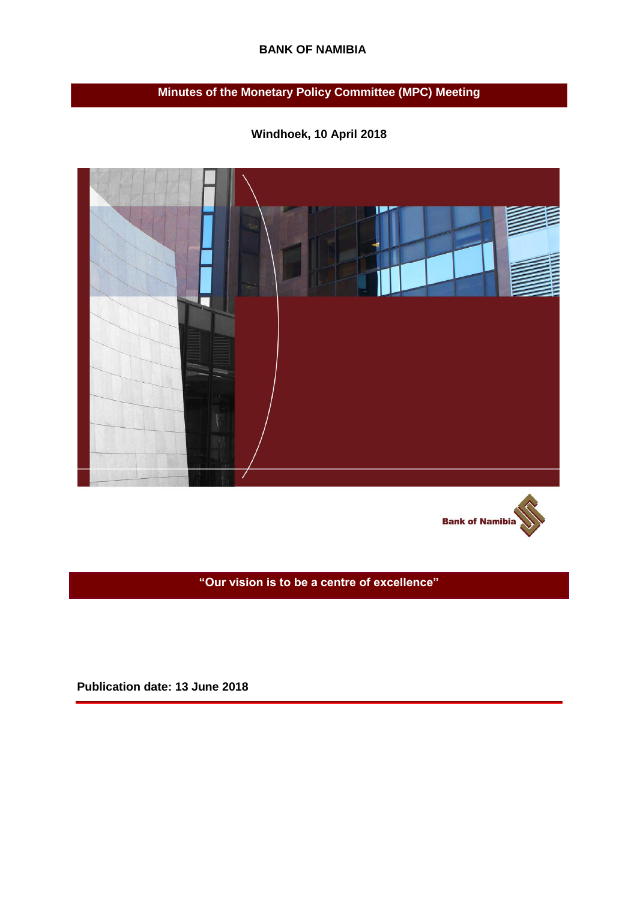## **BANK OF NAMIBIA**

# **Minutes of the Monetary Policy Committee (MPC) Meeting**

**Windhoek, 10 April 2018** 





**"Our vision is to be a centre of excellence"**

**Publication date: 13 June 2018**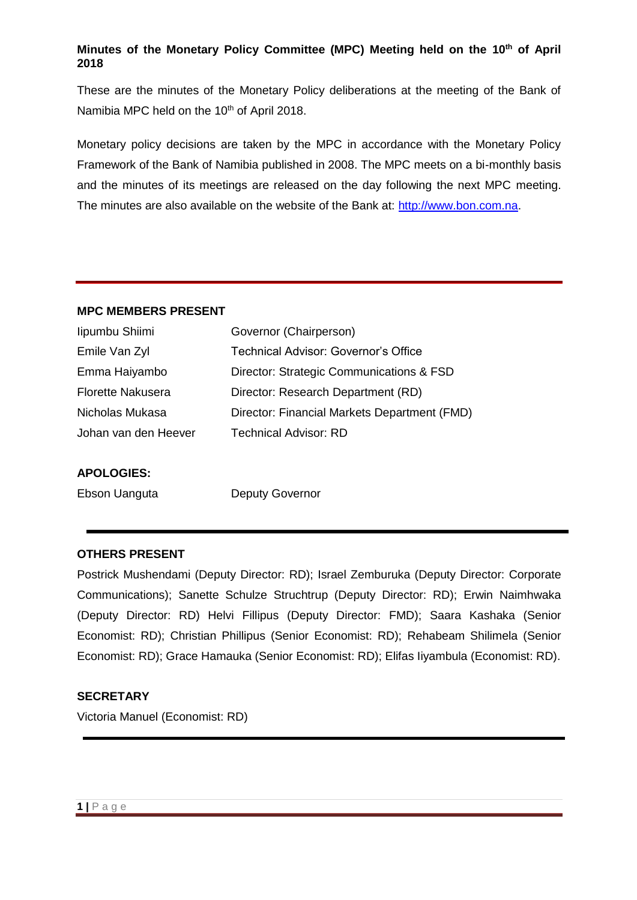# **Minutes of the Monetary Policy Committee (MPC) Meeting held on the 10th of April 2018**

These are the minutes of the Monetary Policy deliberations at the meeting of the Bank of Namibia MPC held on the 10<sup>th</sup> of April 2018.

Monetary policy decisions are taken by the MPC in accordance with the Monetary Policy Framework of the Bank of Namibia published in 2008. The MPC meets on a bi-monthly basis and the minutes of its meetings are released on the day following the next MPC meeting. The minutes are also available on the website of the Bank at: [http://www.bon.com.na.](http://www.bon.com.na/)

#### **MPC MEMBERS PRESENT**

| lipumbu Shiimi           | Governor (Chairperson)                       |
|--------------------------|----------------------------------------------|
| Emile Van Zyl            | <b>Technical Advisor: Governor's Office</b>  |
| Emma Haiyambo            | Director: Strategic Communications & FSD     |
| <b>Florette Nakusera</b> | Director: Research Department (RD)           |
| Nicholas Mukasa          | Director: Financial Markets Department (FMD) |
| Johan van den Heever     | <b>Technical Advisor: RD</b>                 |
|                          |                                              |

#### **APOLOGIES:**

Ebson Uanguta **Deputy Governor** 

#### **OTHERS PRESENT**

Postrick Mushendami (Deputy Director: RD); Israel Zemburuka (Deputy Director: Corporate Communications); Sanette Schulze Struchtrup (Deputy Director: RD); Erwin Naimhwaka (Deputy Director: RD) Helvi Fillipus (Deputy Director: FMD); Saara Kashaka (Senior Economist: RD); Christian Phillipus (Senior Economist: RD); Rehabeam Shilimela (Senior Economist: RD); Grace Hamauka (Senior Economist: RD); Elifas Iiyambula (Economist: RD).

# **SECRETARY**

Victoria Manuel (Economist: RD)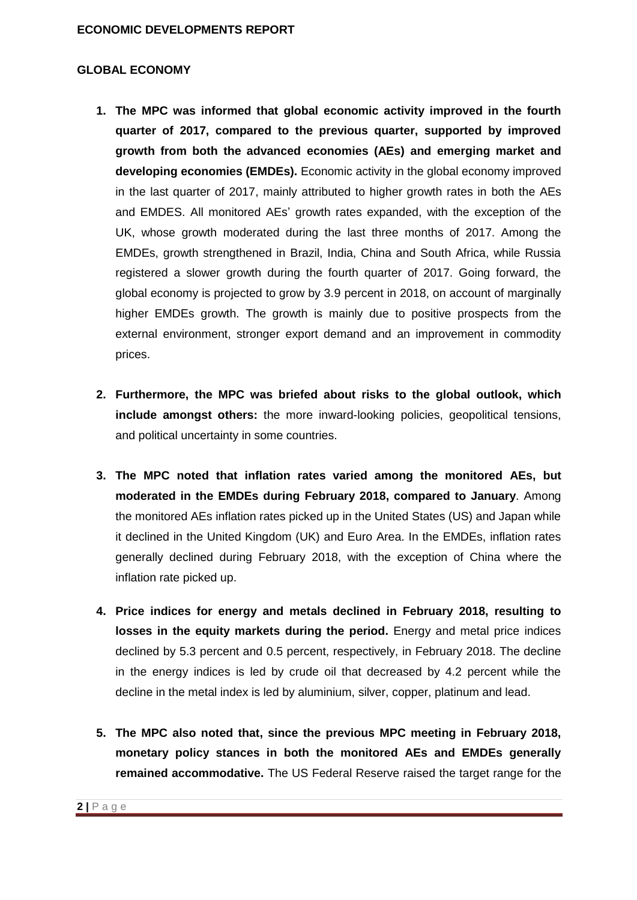## **GLOBAL ECONOMY**

- **1. The MPC was informed that global economic activity improved in the fourth quarter of 2017, compared to the previous quarter, supported by improved growth from both the advanced economies (AEs) and emerging market and developing economies (EMDEs).** Economic activity in the global economy improved in the last quarter of 2017, mainly attributed to higher growth rates in both the AEs and EMDES. All monitored AEs' growth rates expanded, with the exception of the UK, whose growth moderated during the last three months of 2017. Among the EMDEs, growth strengthened in Brazil, India, China and South Africa, while Russia registered a slower growth during the fourth quarter of 2017. Going forward, the global economy is projected to grow by 3.9 percent in 2018, on account of marginally higher EMDEs growth. The growth is mainly due to positive prospects from the external environment, stronger export demand and an improvement in commodity prices.
- **2. Furthermore, the MPC was briefed about risks to the global outlook, which include amongst others:** the more inward-looking policies, geopolitical tensions, and political uncertainty in some countries.
- **3. The MPC noted that inflation rates varied among the monitored AEs, but moderated in the EMDEs during February 2018, compared to January**. Among the monitored AEs inflation rates picked up in the United States (US) and Japan while it declined in the United Kingdom (UK) and Euro Area. In the EMDEs, inflation rates generally declined during February 2018, with the exception of China where the inflation rate picked up.
- **4. Price indices for energy and metals declined in February 2018, resulting to losses in the equity markets during the period.** Energy and metal price indices declined by 5.3 percent and 0.5 percent, respectively, in February 2018. The decline in the energy indices is led by crude oil that decreased by 4.2 percent while the decline in the metal index is led by aluminium, silver, copper, platinum and lead.
- **5. The MPC also noted that, since the previous MPC meeting in February 2018, monetary policy stances in both the monitored AEs and EMDEs generally remained accommodative.** The US Federal Reserve raised the target range for the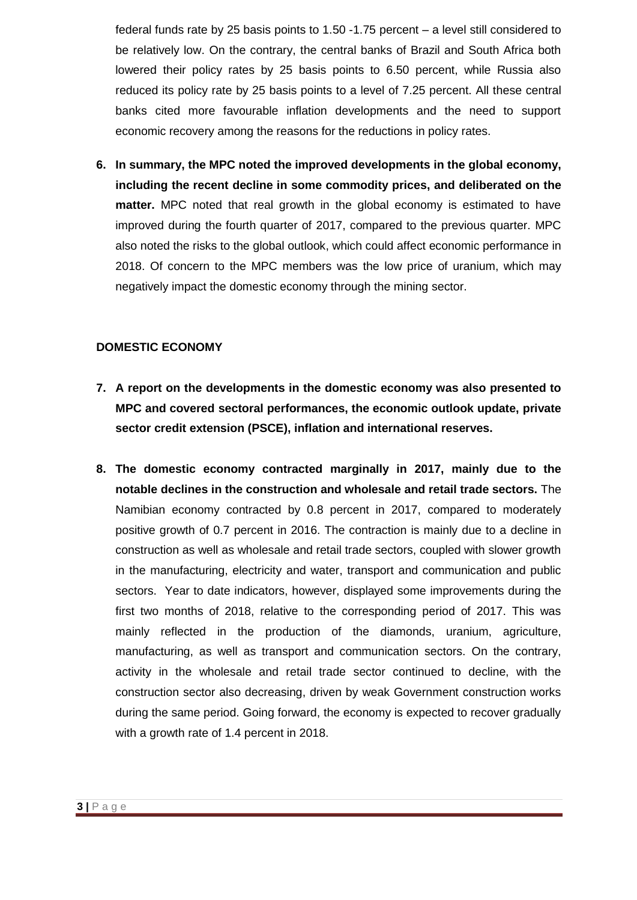federal funds rate by 25 basis points to 1.50 -1.75 percent – a level still considered to be relatively low. On the contrary, the central banks of Brazil and South Africa both lowered their policy rates by 25 basis points to 6.50 percent, while Russia also reduced its policy rate by 25 basis points to a level of 7.25 percent. All these central banks cited more favourable inflation developments and the need to support economic recovery among the reasons for the reductions in policy rates.

**6. In summary, the MPC noted the improved developments in the global economy, including the recent decline in some commodity prices, and deliberated on the matter.** MPC noted that real growth in the global economy is estimated to have improved during the fourth quarter of 2017, compared to the previous quarter. MPC also noted the risks to the global outlook, which could affect economic performance in 2018. Of concern to the MPC members was the low price of uranium, which may negatively impact the domestic economy through the mining sector.

#### **DOMESTIC ECONOMY**

- **7. A report on the developments in the domestic economy was also presented to MPC and covered sectoral performances, the economic outlook update, private sector credit extension (PSCE), inflation and international reserves.**
- **8. The domestic economy contracted marginally in 2017, mainly due to the notable declines in the construction and wholesale and retail trade sectors.** The Namibian economy contracted by 0.8 percent in 2017, compared to moderately positive growth of 0.7 percent in 2016. The contraction is mainly due to a decline in construction as well as wholesale and retail trade sectors, coupled with slower growth in the manufacturing, electricity and water, transport and communication and public sectors. Year to date indicators, however, displayed some improvements during the first two months of 2018, relative to the corresponding period of 2017. This was mainly reflected in the production of the diamonds, uranium, agriculture, manufacturing, as well as transport and communication sectors. On the contrary, activity in the wholesale and retail trade sector continued to decline, with the construction sector also decreasing, driven by weak Government construction works during the same period. Going forward, the economy is expected to recover gradually with a growth rate of 1.4 percent in 2018.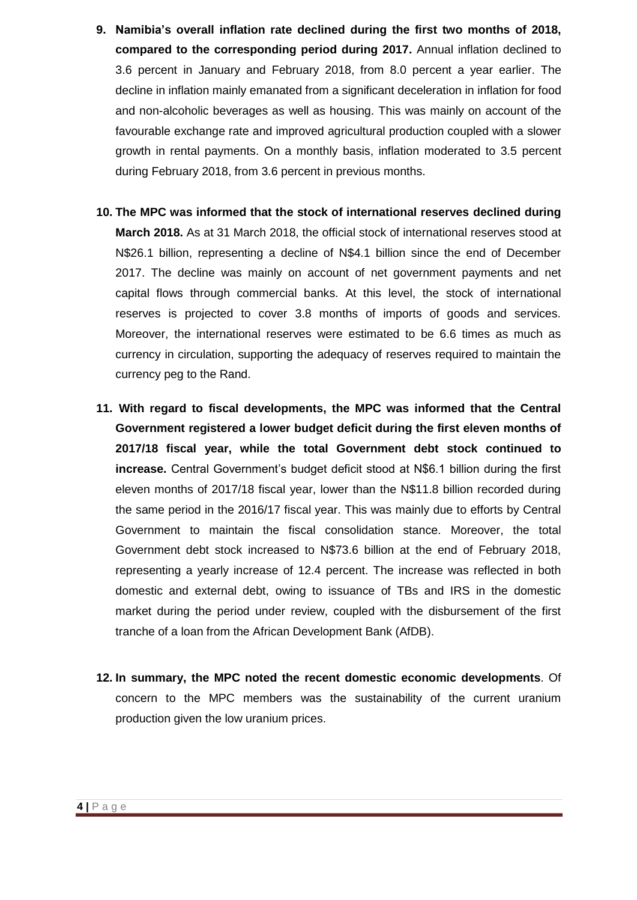- **9. Namibia's overall inflation rate declined during the first two months of 2018, compared to the corresponding period during 2017.** Annual inflation declined to 3.6 percent in January and February 2018, from 8.0 percent a year earlier. The decline in inflation mainly emanated from a significant deceleration in inflation for food and non-alcoholic beverages as well as housing. This was mainly on account of the favourable exchange rate and improved agricultural production coupled with a slower growth in rental payments. On a monthly basis, inflation moderated to 3.5 percent during February 2018, from 3.6 percent in previous months.
- **10. The MPC was informed that the stock of international reserves declined during March 2018.** As at 31 March 2018, the official stock of international reserves stood at N\$26.1 billion, representing a decline of N\$4.1 billion since the end of December 2017. The decline was mainly on account of net government payments and net capital flows through commercial banks. At this level, the stock of international reserves is projected to cover 3.8 months of imports of goods and services. Moreover, the international reserves were estimated to be 6.6 times as much as currency in circulation, supporting the adequacy of reserves required to maintain the currency peg to the Rand.
- **11. With regard to fiscal developments, the MPC was informed that the Central Government registered a lower budget deficit during the first eleven months of 2017/18 fiscal year, while the total Government debt stock continued to increase.** Central Government's budget deficit stood at N\$6.1 billion during the first eleven months of 2017/18 fiscal year, lower than the N\$11.8 billion recorded during the same period in the 2016/17 fiscal year. This was mainly due to efforts by Central Government to maintain the fiscal consolidation stance. Moreover, the total Government debt stock increased to N\$73.6 billion at the end of February 2018, representing a yearly increase of 12.4 percent. The increase was reflected in both domestic and external debt, owing to issuance of TBs and IRS in the domestic market during the period under review, coupled with the disbursement of the first tranche of a loan from the African Development Bank (AfDB).
- **12. In summary, the MPC noted the recent domestic economic developments**. Of concern to the MPC members was the sustainability of the current uranium production given the low uranium prices.